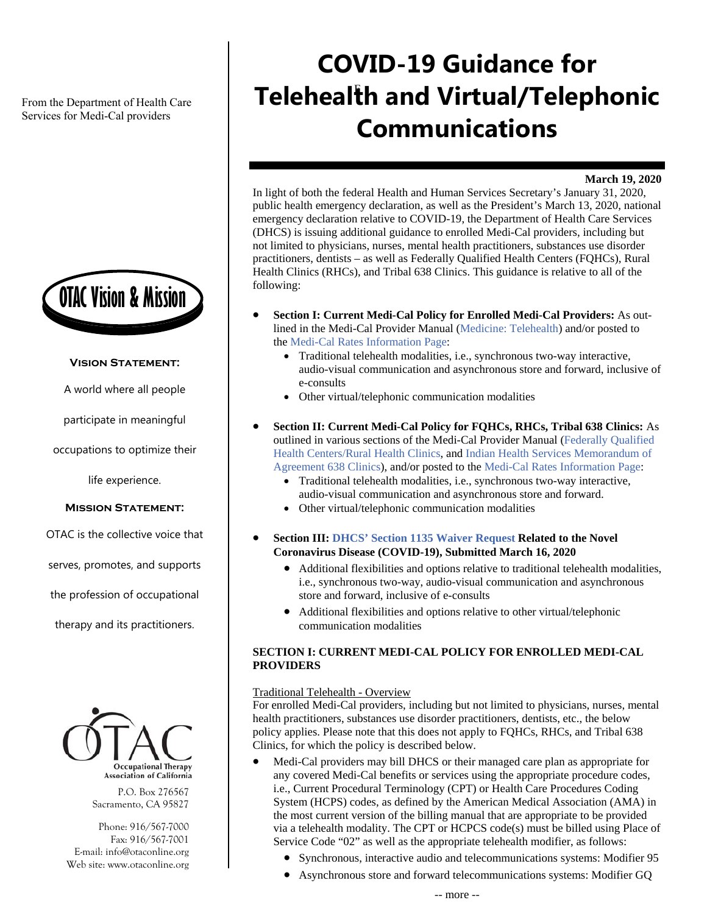From the Department of Health Care Services for Medi-Cal providers



# **Vision Statement:**

A world where all people

participate in meaningful

occupations to optimize their

life experience.

#### **Mission Statement:**

OTAC is the collective voice that

serves, promotes, and supports

the profession of occupational

therapy and its practitioners.



P.O. Box 276567 Sacramento, CA 95827

Phone: 916/567-7000 Fax: 916/567-7001 E-mail: info@otaconline.org Web site: www.otaconline.org

# **COVID-19 Guidance for Telehealth and Virtual/Telephonic**  F **Communications**

**March 19, 2020** 

In light of both the federal Health and Human Services Secretary's January 31, 2020, public health emergency declaration, as well as the President's March 13, 2020, national emergency declaration relative to COVID-19, the Department of Health Care Services (DHCS) is issuing additional guidance to enrolled Medi-Cal providers, including but not limited to physicians, nurses, mental health practitioners, substances use disorder practitioners, dentists – as well as Federally Qualified Health Centers (FQHCs), Rural Health Clinics (RHCs), and Tribal 638 Clinics. This guidance is relative to all of the following:

- **Section I: Current Medi-Cal Policy for Enrolled Medi-Cal Providers:** As outlined in the Medi-Cal Provider Manual [\(Medicine: Telehealth\)](http://files.medi-cal.ca.gov/pubsdoco/publications/masters-mtp/part2/mednetele_m01o03.doc) and/or posted to th[e Medi-Cal Rates Information Page:](http://files.medi-cal.ca.gov/pubsdoco/rates/rateshome.asp) 
	- Traditional telehealth modalities, i.e., synchronous two-way interactive, audio-visual communication and asynchronous store and forward, inclusive of e-consults
	- Other virtual/telephonic communication modalities
- **Section II: Current Medi-Cal Policy for FQHCs, RHCs, Tribal 638 Clinics:** As outlined in various sections of the Medi-Cal Provider Manual [\(Federally Qualified](http://files.medi-cal.ca.gov/pubsdoco/publications/masters-mtp/part2/rural_o01o03.doc)  [Health Centers/Rural Health Clinics,](http://files.medi-cal.ca.gov/pubsdoco/publications/masters-mtp/part2/rural_o01o03.doc) and [Indian Health Services Memorandum of](http://files.medi-cal.ca.gov/pubsdoco/publications/masters-mtp/part2/indhealth_o01o03.doc)  [Agreement 638 Clinics\)](http://files.medi-cal.ca.gov/pubsdoco/publications/masters-mtp/part2/indhealth_o01o03.doc), and/or posted to th[e Medi-Cal Rates Information Page:](http://files.medi-cal.ca.gov/pubsdoco/rates/rateshome.asp) 
	- Traditional telehealth modalities, i.e., synchronous two-way interactive, audio-visual communication and asynchronous store and forward.
	- Other virtual/telephonic communication modalities
- **Section III: [DHCS' Section 1135 Waiver Request](https://www.dhcs.ca.gov/Documents/COVID-19/CA-1135-Waiver-COVID-19-031620.pdf) Related to the Novel Coronavirus Disease (COVID-19), Submitted March 16, 2020**
	- Additional flexibilities and options relative to traditional telehealth modalities, i.e., synchronous two-way, audio-visual communication and asynchronous store and forward, inclusive of e-consults
	- Additional flexibilities and options relative to other virtual/telephonic communication modalities

# **SECTION I: CURRENT MEDI-CAL POLICY FOR ENROLLED MEDI-CAL PROVIDERS**

#### Traditional Telehealth - Overview

For enrolled Medi-Cal providers, including but not limited to physicians, nurses, mental health practitioners, substances use disorder practitioners, dentists, etc., the below policy applies. Please note that this does not apply to FQHCs, RHCs, and Tribal 638 Clinics, for which the policy is described below.

- Medi-Cal providers may bill DHCS or their managed care plan as appropriate for any covered Medi-Cal benefits or services using the appropriate procedure codes, i.e., Current Procedural Terminology (CPT) or Health Care Procedures Coding System (HCPS) codes, as defined by the American Medical Association (AMA) in the most current version of the billing manual that are appropriate to be provided via a telehealth modality. The CPT or HCPCS code(s) must be billed using Place of Service Code "02" as well as the appropriate telehealth modifier, as follows:
	- Synchronous, interactive audio and telecommunications systems: Modifier 95
	- Asynchronous store and forward telecommunications systems: Modifier GQ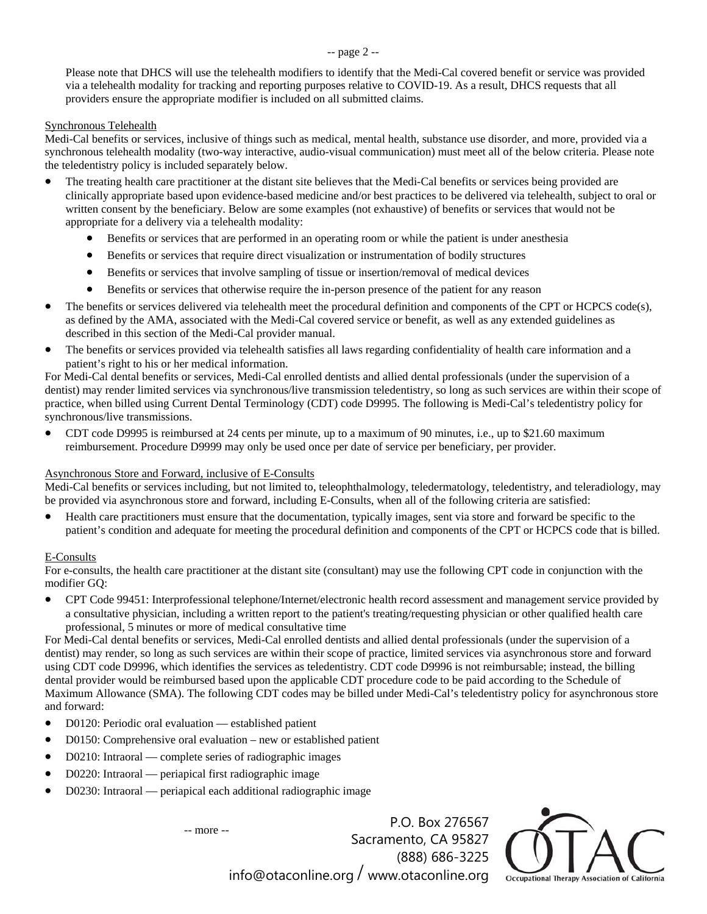#### -- page 2 --

Please note that DHCS will use the telehealth modifiers to identify that the Medi-Cal covered benefit or service was provided via a telehealth modality for tracking and reporting purposes relative to COVID-19. As a result, DHCS requests that all providers ensure the appropriate modifier is included on all submitted claims.

#### Synchronous Telehealth

Medi-Cal benefits or services, inclusive of things such as medical, mental health, substance use disorder, and more, provided via a synchronous telehealth modality (two-way interactive, audio-visual communication) must meet all of the below criteria. Please note the teledentistry policy is included separately below.

- The treating health care practitioner at the distant site believes that the Medi-Cal benefits or services being provided are clinically appropriate based upon evidence-based medicine and/or best practices to be delivered via telehealth, subject to oral or written consent by the beneficiary. Below are some examples (not exhaustive) of benefits or services that would not be appropriate for a delivery via a telehealth modality:
	- Benefits or services that are performed in an operating room or while the patient is under anesthesia
	- Benefits or services that require direct visualization or instrumentation of bodily structures
	- Benefits or services that involve sampling of tissue or insertion/removal of medical devices
	- Benefits or services that otherwise require the in-person presence of the patient for any reason
- The benefits or services delivered via telehealth meet the procedural definition and components of the CPT or HCPCS code(s), as defined by the AMA, associated with the Medi-Cal covered service or benefit, as well as any extended guidelines as described in this section of the Medi-Cal provider manual.
- The benefits or services provided via telehealth satisfies all laws regarding confidentiality of health care information and a patient's right to his or her medical information.

For Medi-Cal dental benefits or services, Medi-Cal enrolled dentists and allied dental professionals (under the supervision of a dentist) may render limited services via synchronous/live transmission teledentistry, so long as such services are within their scope of practice, when billed using Current Dental Terminology (CDT) code D9995. The following is Medi-Cal's teledentistry policy for synchronous/live transmissions.

 CDT code D9995 is reimbursed at 24 cents per minute, up to a maximum of 90 minutes, i.e., up to \$21.60 maximum reimbursement. Procedure D9999 may only be used once per date of service per beneficiary, per provider.

# Asynchronous Store and Forward, inclusive of E-Consults

Medi-Cal benefits or services including, but not limited to, teleophthalmology, teledermatology, teledentistry, and teleradiology, may be provided via asynchronous store and forward, including E-Consults, when all of the following criteria are satisfied:

 Health care practitioners must ensure that the documentation, typically images, sent via store and forward be specific to the patient's condition and adequate for meeting the procedural definition and components of the CPT or HCPCS code that is billed.

# E-Consults

For e-consults, the health care practitioner at the distant site (consultant) may use the following CPT code in conjunction with the modifier GQ:

 CPT Code 99451: Interprofessional telephone/Internet/electronic health record assessment and management service provided by a consultative physician, including a written report to the patient's treating/requesting physician or other qualified health care professional, 5 minutes or more of medical consultative time

For Medi-Cal dental benefits or services, Medi-Cal enrolled dentists and allied dental professionals (under the supervision of a dentist) may render, so long as such services are within their scope of practice, limited services via asynchronous store and forward using CDT code D9996, which identifies the services as teledentistry. CDT code D9996 is not reimbursable; instead, the billing dental provider would be reimbursed based upon the applicable CDT procedure code to be paid according to the Schedule of Maximum Allowance (SMA). The following CDT codes may be billed under Medi-Cal's teledentistry policy for asynchronous store and forward:

- D0120: Periodic oral evaluation established patient
- D0150: Comprehensive oral evaluation new or established patient
- D0210: Intraoral complete series of radiographic images
- D0220: Intraoral periapical first radiographic image
- D0230: Intraoral periapical each additional radiographic image

-- more --

P.O. Box 276567 Sacramento, CA 95827 (888) 686-3225 info@otaconline.org / www.otaconline.org

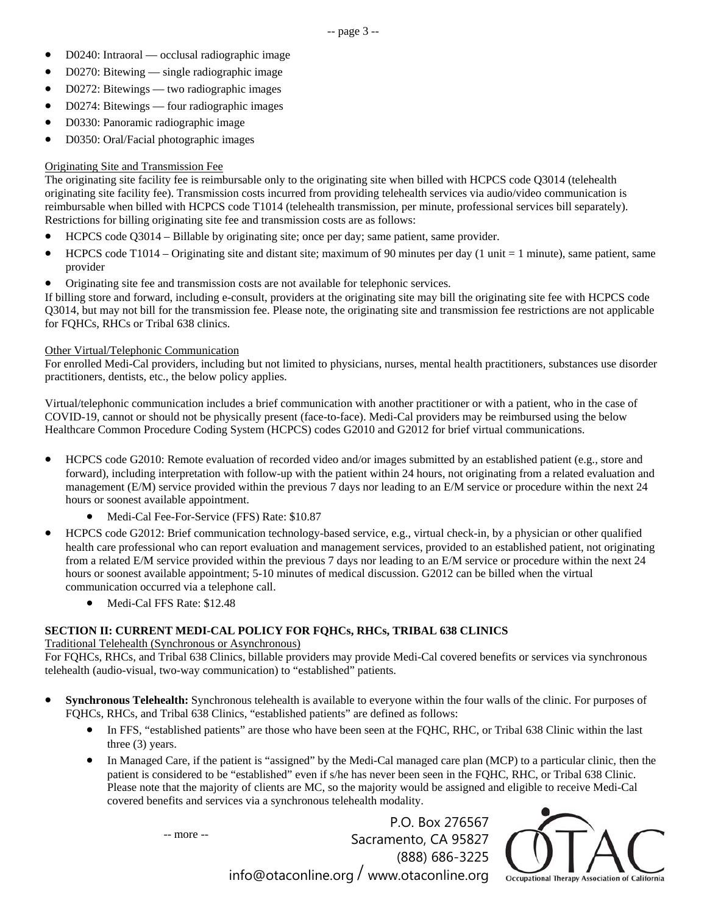- D0240: Intraoral occlusal radiographic image
- D0270: Bitewing single radiographic image
- D0272: Bitewings two radiographic images
- D0274: Bitewings four radiographic images
- D0330: Panoramic radiographic image
- D0350: Oral/Facial photographic images

# Originating Site and Transmission Fee

The originating site facility fee is reimbursable only to the originating site when billed with HCPCS code Q3014 (telehealth originating site facility fee). Transmission costs incurred from providing telehealth services via audio/video communication is reimbursable when billed with HCPCS code T1014 (telehealth transmission, per minute, professional services bill separately). Restrictions for billing originating site fee and transmission costs are as follows:

- HCPCS code Q3014 Billable by originating site; once per day; same patient, same provider.
- HCPCS code T1014 Originating site and distant site; maximum of 90 minutes per day (1 unit = 1 minute), same patient, same provider
- Originating site fee and transmission costs are not available for telephonic services.

If billing store and forward, including e-consult, providers at the originating site may bill the originating site fee with HCPCS code Q3014, but may not bill for the transmission fee. Please note, the originating site and transmission fee restrictions are not applicable for FQHCs, RHCs or Tribal 638 clinics.

# Other Virtual/Telephonic Communication

For enrolled Medi-Cal providers, including but not limited to physicians, nurses, mental health practitioners, substances use disorder practitioners, dentists, etc., the below policy applies.

Virtual/telephonic communication includes a brief communication with another practitioner or with a patient, who in the case of COVID-19, cannot or should not be physically present (face-to-face). Medi-Cal providers may be reimbursed using the below Healthcare Common Procedure Coding System (HCPCS) codes G2010 and G2012 for brief virtual communications.

- HCPCS code G2010: Remote evaluation of recorded video and/or images submitted by an established patient (e.g., store and forward), including interpretation with follow-up with the patient within 24 hours, not originating from a related evaluation and management (E/M) service provided within the previous 7 days nor leading to an E/M service or procedure within the next 24 hours or soonest available appointment.
	- Medi-Cal Fee-For-Service (FFS) Rate: \$10.87
- HCPCS code G2012: Brief communication technology-based service, e.g., virtual check-in, by a physician or other qualified health care professional who can report evaluation and management services, provided to an established patient, not originating from a related E/M service provided within the previous 7 days nor leading to an E/M service or procedure within the next 24 hours or soonest available appointment; 5-10 minutes of medical discussion. G2012 can be billed when the virtual communication occurred via a telephone call.
	- Medi-Cal FFS Rate: \$12.48

# **SECTION II: CURRENT MEDI-CAL POLICY FOR FQHCs, RHCs, TRIBAL 638 CLINICS**

# Traditional Telehealth (Synchronous or Asynchronous)

For FQHCs, RHCs, and Tribal 638 Clinics, billable providers may provide Medi-Cal covered benefits or services via synchronous telehealth (audio-visual, two-way communication) to "established" patients.

- **Synchronous Telehealth:** Synchronous telehealth is available to everyone within the four walls of the clinic. For purposes of FQHCs, RHCs, and Tribal 638 Clinics, "established patients" are defined as follows:
	- In FFS, "established patients" are those who have been seen at the FQHC, RHC, or Tribal 638 Clinic within the last three (3) years.
	- In Managed Care, if the patient is "assigned" by the Medi-Cal managed care plan (MCP) to a particular clinic, then the patient is considered to be "established" even if s/he has never been seen in the FQHC, RHC, or Tribal 638 Clinic. Please note that the majority of clients are MC, so the majority would be assigned and eligible to receive Medi-Cal covered benefits and services via a synchronous telehealth modality.

-- more --

P.O. Box 276567 Sacramento, CA 95827 (888) 686-3225 info@otaconline.org / www.otaconline.org

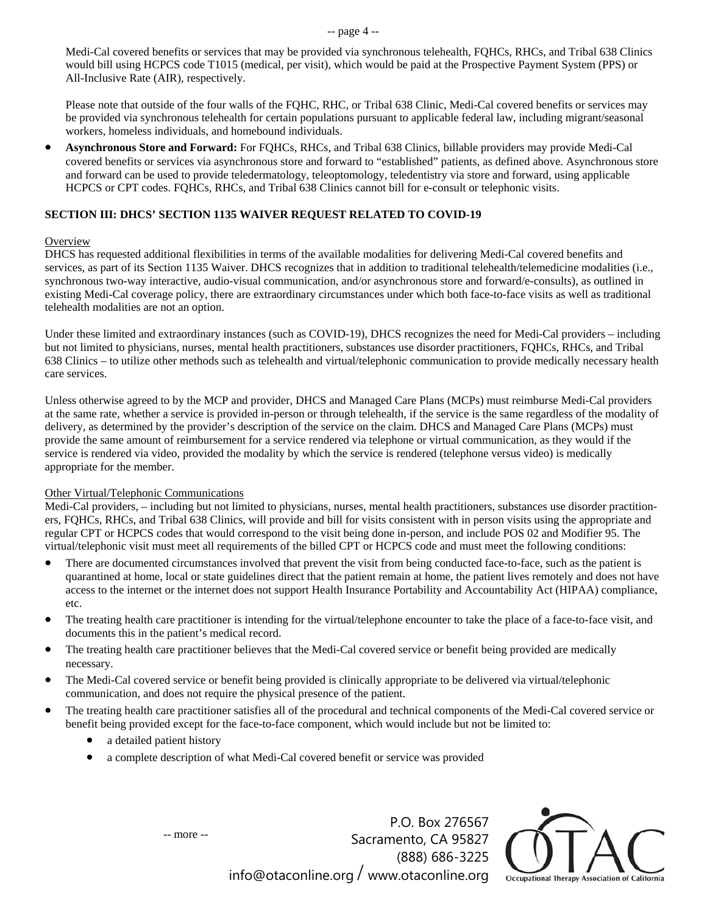Medi-Cal covered benefits or services that may be provided via synchronous telehealth, FQHCs, RHCs, and Tribal 638 Clinics would bill using HCPCS code T1015 (medical, per visit), which would be paid at the Prospective Payment System (PPS) or All-Inclusive Rate (AIR), respectively.

Please note that outside of the four walls of the FQHC, RHC, or Tribal 638 Clinic, Medi-Cal covered benefits or services may be provided via synchronous telehealth for certain populations pursuant to applicable federal law, including migrant/seasonal workers, homeless individuals, and homebound individuals.

 **Asynchronous Store and Forward:** For FQHCs, RHCs, and Tribal 638 Clinics, billable providers may provide Medi-Cal covered benefits or services via asynchronous store and forward to "established" patients, as defined above. Asynchronous store and forward can be used to provide teledermatology, teleoptomology, teledentistry via store and forward, using applicable HCPCS or CPT codes. FQHCs, RHCs, and Tribal 638 Clinics cannot bill for e-consult or telephonic visits.

# **SECTION III: DHCS' SECTION 1135 WAIVER REQUEST RELATED TO COVID-19**

#### Overview

DHCS has requested additional flexibilities in terms of the available modalities for delivering Medi-Cal covered benefits and services, as part of its Section 1135 Waiver. DHCS recognizes that in addition to traditional telehealth/telemedicine modalities (i.e., synchronous two-way interactive, audio-visual communication, and/or asynchronous store and forward/e-consults), as outlined in existing Medi-Cal coverage policy, there are extraordinary circumstances under which both face-to-face visits as well as traditional telehealth modalities are not an option.

Under these limited and extraordinary instances (such as COVID-19), DHCS recognizes the need for Medi-Cal providers – including but not limited to physicians, nurses, mental health practitioners, substances use disorder practitioners, FQHCs, RHCs, and Tribal 638 Clinics – to utilize other methods such as telehealth and virtual/telephonic communication to provide medically necessary health care services.

Unless otherwise agreed to by the MCP and provider, DHCS and Managed Care Plans (MCPs) must reimburse Medi-Cal providers at the same rate, whether a service is provided in-person or through telehealth, if the service is the same regardless of the modality of delivery, as determined by the provider's description of the service on the claim. DHCS and Managed Care Plans (MCPs) must provide the same amount of reimbursement for a service rendered via telephone or virtual communication, as they would if the service is rendered via video, provided the modality by which the service is rendered (telephone versus video) is medically appropriate for the member.

# Other Virtual/Telephonic Communications

Medi-Cal providers, – including but not limited to physicians, nurses, mental health practitioners, substances use disorder practitioners, FQHCs, RHCs, and Tribal 638 Clinics, will provide and bill for visits consistent with in person visits using the appropriate and regular CPT or HCPCS codes that would correspond to the visit being done in-person, and include POS 02 and Modifier 95. The virtual/telephonic visit must meet all requirements of the billed CPT or HCPCS code and must meet the following conditions:

- There are documented circumstances involved that prevent the visit from being conducted face-to-face, such as the patient is quarantined at home, local or state guidelines direct that the patient remain at home, the patient lives remotely and does not have access to the internet or the internet does not support Health Insurance Portability and Accountability Act (HIPAA) compliance, etc.
- The treating health care practitioner is intending for the virtual/telephone encounter to take the place of a face-to-face visit, and documents this in the patient's medical record.
- The treating health care practitioner believes that the Medi-Cal covered service or benefit being provided are medically necessary.
- The Medi-Cal covered service or benefit being provided is clinically appropriate to be delivered via virtual/telephonic communication, and does not require the physical presence of the patient.
- The treating health care practitioner satisfies all of the procedural and technical components of the Medi-Cal covered service or benefit being provided except for the face-to-face component, which would include but not be limited to:

info@otaconline.org / www.otaconline.org

P.O. Box 276567

(888) 686-3225

Sacramento, CA 95827

- a detailed patient history
- a complete description of what Medi-Cal covered benefit or service was provided

-- more --

**Occupational Therapy Association of California**